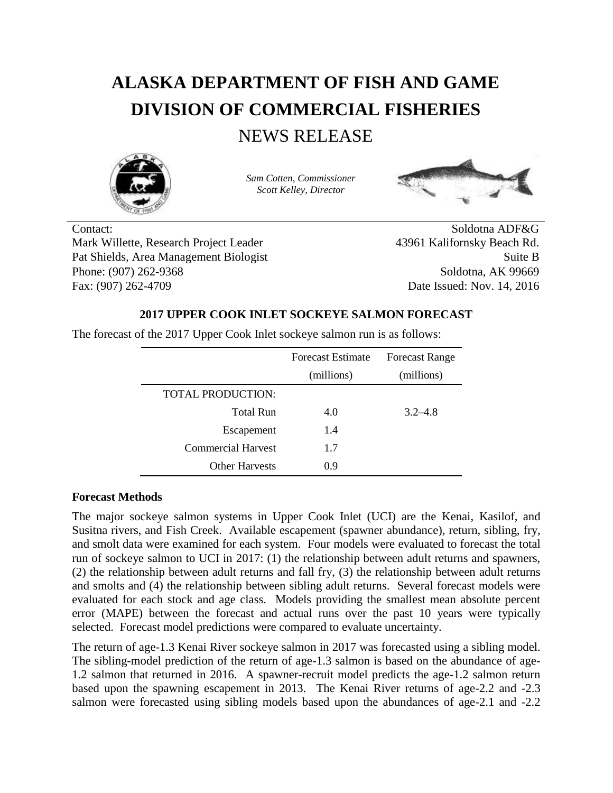# **ALASKA DEPARTMENT OF FISH AND GAME DIVISION OF COMMERCIAL FISHERIES**

# NEWS RELEASE



*Sam Cotten, Commissioner Scott Kelley, Director*



Contact: Soldotna ADF&G Mark Willette, Research Project Leader 43961 Kalifornsky Beach Rd. Pat Shields, Area Management Biologist Suite B Phone: (907) 262-9368 Soldotna, AK 99669 Fax: (907) 262-4709 Date Issued: Nov. 14, 2016

## **2017 UPPER COOK INLET SOCKEYE SALMON FORECAST**

The forecast of the 2017 Upper Cook Inlet sockeye salmon run is as follows:

|                           | <b>Forecast Estimate</b> | <b>Forecast Range</b> |
|---------------------------|--------------------------|-----------------------|
|                           | (millions)               | (millions)            |
| TOTAL PRODUCTION:         |                          |                       |
| Total Run                 | 4.0                      | $3.2 - 4.8$           |
| Escapement                | 1.4                      |                       |
| <b>Commercial Harvest</b> | 1.7                      |                       |
| <b>Other Harvests</b>     | 0.9                      |                       |

## **Forecast Methods**

The major sockeye salmon systems in Upper Cook Inlet (UCI) are the Kenai, Kasilof, and Susitna rivers, and Fish Creek. Available escapement (spawner abundance), return, sibling, fry, and smolt data were examined for each system. Four models were evaluated to forecast the total run of sockeye salmon to UCI in 2017: (1) the relationship between adult returns and spawners, (2) the relationship between adult returns and fall fry, (3) the relationship between adult returns and smolts and (4) the relationship between sibling adult returns. Several forecast models were evaluated for each stock and age class. Models providing the smallest mean absolute percent error (MAPE) between the forecast and actual runs over the past 10 years were typically selected. Forecast model predictions were compared to evaluate uncertainty.

The return of age-1.3 Kenai River sockeye salmon in 2017 was forecasted using a sibling model. The sibling-model prediction of the return of age-1.3 salmon is based on the abundance of age-1.2 salmon that returned in 2016. A spawner-recruit model predicts the age-1.2 salmon return based upon the spawning escapement in 2013. The Kenai River returns of age-2.2 and -2.3 salmon were forecasted using sibling models based upon the abundances of age-2.1 and -2.2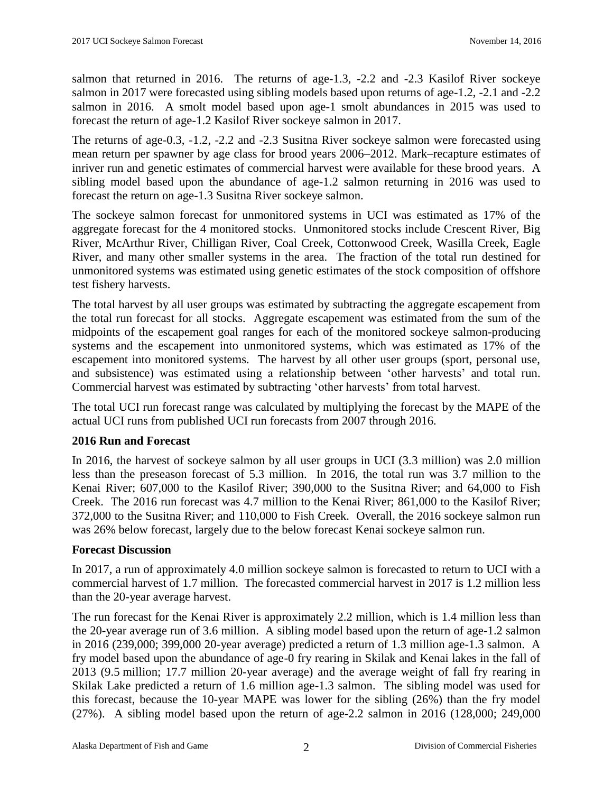salmon that returned in 2016. The returns of age-1.3, -2.2 and -2.3 Kasilof River sockeye salmon in 2017 were forecasted using sibling models based upon returns of age-1.2, -2.1 and -2.2 salmon in 2016. A smolt model based upon age-1 smolt abundances in 2015 was used to forecast the return of age-1.2 Kasilof River sockeye salmon in 2017.

The returns of age-0.3, -1.2, -2.2 and -2.3 Susitna River sockeye salmon were forecasted using mean return per spawner by age class for brood years 2006–2012. Mark–recapture estimates of inriver run and genetic estimates of commercial harvest were available for these brood years. A sibling model based upon the abundance of age-1.2 salmon returning in 2016 was used to forecast the return on age-1.3 Susitna River sockeye salmon.

The sockeye salmon forecast for unmonitored systems in UCI was estimated as 17% of the aggregate forecast for the 4 monitored stocks. Unmonitored stocks include Crescent River, Big River, McArthur River, Chilligan River, Coal Creek, Cottonwood Creek, Wasilla Creek, Eagle River, and many other smaller systems in the area. The fraction of the total run destined for unmonitored systems was estimated using genetic estimates of the stock composition of offshore test fishery harvests.

The total harvest by all user groups was estimated by subtracting the aggregate escapement from the total run forecast for all stocks. Aggregate escapement was estimated from the sum of the midpoints of the escapement goal ranges for each of the monitored sockeye salmon-producing systems and the escapement into unmonitored systems, which was estimated as 17% of the escapement into monitored systems. The harvest by all other user groups (sport, personal use, and subsistence) was estimated using a relationship between 'other harvests' and total run. Commercial harvest was estimated by subtracting 'other harvests' from total harvest.

The total UCI run forecast range was calculated by multiplying the forecast by the MAPE of the actual UCI runs from published UCI run forecasts from 2007 through 2016.

#### **2016 Run and Forecast**

In 2016, the harvest of sockeye salmon by all user groups in UCI (3.3 million) was 2.0 million less than the preseason forecast of 5.3 million. In 2016, the total run was 3.7 million to the Kenai River; 607,000 to the Kasilof River; 390,000 to the Susitna River; and 64,000 to Fish Creek. The 2016 run forecast was 4.7 million to the Kenai River; 861,000 to the Kasilof River; 372,000 to the Susitna River; and 110,000 to Fish Creek. Overall, the 2016 sockeye salmon run was 26% below forecast, largely due to the below forecast Kenai sockeye salmon run.

#### **Forecast Discussion**

In 2017, a run of approximately 4.0 million sockeye salmon is forecasted to return to UCI with a commercial harvest of 1.7 million. The forecasted commercial harvest in 2017 is 1.2 million less than the 20-year average harvest.

The run forecast for the Kenai River is approximately 2.2 million, which is 1.4 million less than the 20-year average run of 3.6 million. A sibling model based upon the return of age-1.2 salmon in 2016 (239,000; 399,000 20-year average) predicted a return of 1.3 million age-1.3 salmon. A fry model based upon the abundance of age-0 fry rearing in Skilak and Kenai lakes in the fall of 2013 (9.5 million; 17.7 million 20-year average) and the average weight of fall fry rearing in Skilak Lake predicted a return of 1.6 million age-1.3 salmon. The sibling model was used for this forecast, because the 10-year MAPE was lower for the sibling (26%) than the fry model (27%). A sibling model based upon the return of age-2.2 salmon in 2016 (128,000; 249,000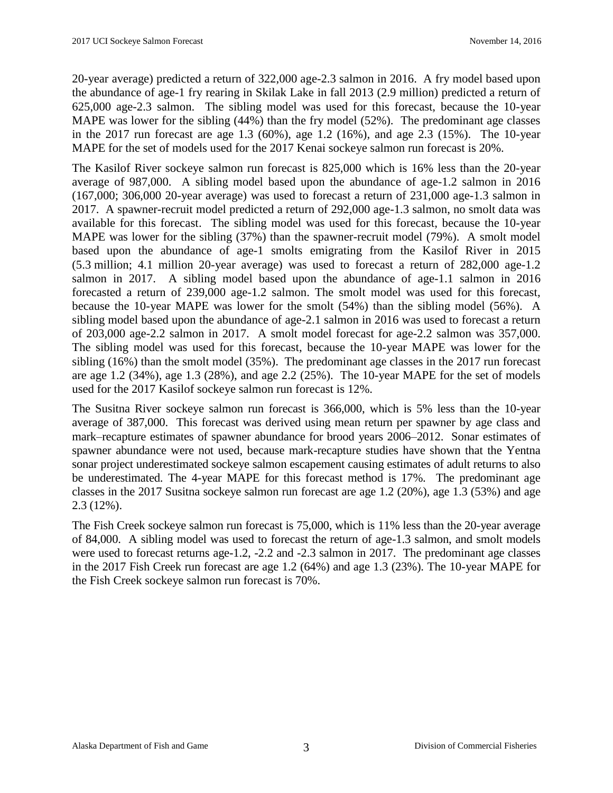20-year average) predicted a return of 322,000 age-2.3 salmon in 2016. A fry model based upon the abundance of age-1 fry rearing in Skilak Lake in fall 2013 (2.9 million) predicted a return of 625,000 age-2.3 salmon. The sibling model was used for this forecast, because the 10-year MAPE was lower for the sibling (44%) than the fry model (52%). The predominant age classes in the 2017 run forecast are age 1.3 (60%), age 1.2 (16%), and age 2.3 (15%). The 10-year MAPE for the set of models used for the 2017 Kenai sockeye salmon run forecast is 20%.

The Kasilof River sockeye salmon run forecast is 825,000 which is 16% less than the 20-year average of 987,000. A sibling model based upon the abundance of age-1.2 salmon in 2016 (167,000; 306,000 20-year average) was used to forecast a return of 231,000 age-1.3 salmon in 2017. A spawner-recruit model predicted a return of 292,000 age-1.3 salmon, no smolt data was available for this forecast. The sibling model was used for this forecast, because the 10-year MAPE was lower for the sibling (37%) than the spawner-recruit model (79%). A smolt model based upon the abundance of age-1 smolts emigrating from the Kasilof River in 2015 (5.3 million; 4.1 million 20-year average) was used to forecast a return of 282,000 age-1.2 salmon in 2017. A sibling model based upon the abundance of age-1.1 salmon in 2016 forecasted a return of 239,000 age-1.2 salmon. The smolt model was used for this forecast, because the 10-year MAPE was lower for the smolt (54%) than the sibling model (56%). A sibling model based upon the abundance of age-2.1 salmon in 2016 was used to forecast a return of 203,000 age-2.2 salmon in 2017. A smolt model forecast for age-2.2 salmon was 357,000. The sibling model was used for this forecast, because the 10-year MAPE was lower for the sibling (16%) than the smolt model (35%). The predominant age classes in the 2017 run forecast are age 1.2 (34%), age 1.3 (28%), and age 2.2 (25%). The 10-year MAPE for the set of models used for the 2017 Kasilof sockeye salmon run forecast is 12%.

The Susitna River sockeye salmon run forecast is 366,000, which is 5% less than the 10-year average of 387,000. This forecast was derived using mean return per spawner by age class and mark–recapture estimates of spawner abundance for brood years 2006–2012. Sonar estimates of spawner abundance were not used, because mark-recapture studies have shown that the Yentna sonar project underestimated sockeye salmon escapement causing estimates of adult returns to also be underestimated. The 4-year MAPE for this forecast method is 17%. The predominant age classes in the 2017 Susitna sockeye salmon run forecast are age 1.2 (20%), age 1.3 (53%) and age 2.3 (12%).

The Fish Creek sockeye salmon run forecast is 75,000, which is 11% less than the 20-year average of 84,000. A sibling model was used to forecast the return of age-1.3 salmon, and smolt models were used to forecast returns age-1.2, -2.2 and -2.3 salmon in 2017. The predominant age classes in the 2017 Fish Creek run forecast are age 1.2 (64%) and age 1.3 (23%). The 10-year MAPE for the Fish Creek sockeye salmon run forecast is 70%.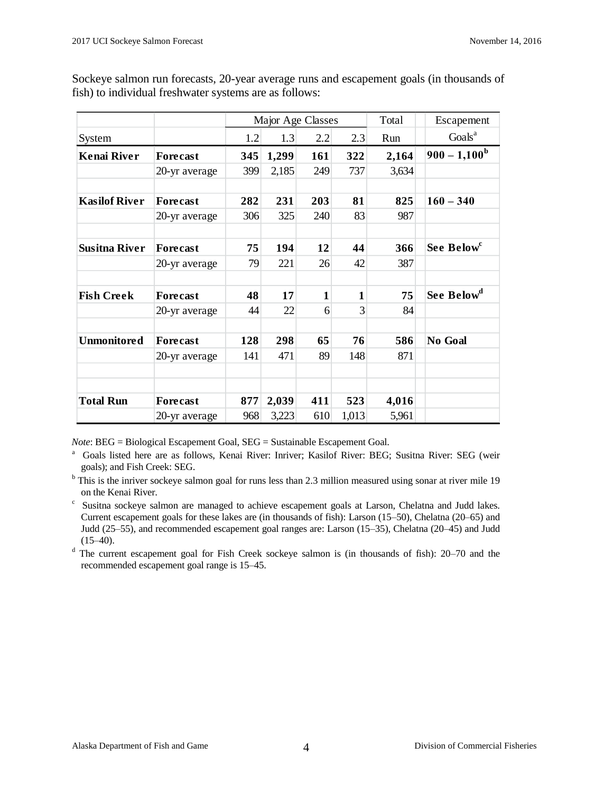|                      |                 |     | Major Age Classes |              |              | Total | Escapement             |
|----------------------|-----------------|-----|-------------------|--------------|--------------|-------|------------------------|
| System               |                 | 1.2 | 1.3               | 2.2          | 2.3          | Run   | Goals <sup>a</sup>     |
| <b>Kenai River</b>   | <b>Forecast</b> | 345 | 1,299             | 161          | 322          | 2,164 | $900 - 1,100^{\rm b}$  |
|                      | 20-yr average   | 399 | 2,185             | 249          | 737          | 3,634 |                        |
|                      |                 |     |                   |              |              |       |                        |
| <b>Kasilof River</b> | <b>Forecast</b> | 282 | 231               | 203          | 81           | 825   | $160 - 340$            |
|                      | 20-yr average   | 306 | 325               | 240          | 83           | 987   |                        |
| <b>Susitna River</b> | <b>Forecast</b> | 75  | 194               | 12           | 44           | 366   | See Below <sup>c</sup> |
|                      | 20-yr average   | 79  | 221               | 26           | 42           | 387   |                        |
| <b>Fish Creek</b>    | <b>Forecast</b> | 48  | 17                | $\mathbf{1}$ | $\mathbf{1}$ | 75    | See Below <sup>d</sup> |
|                      | 20-yr average   | 44  | 22                | 6            | 3            | 84    |                        |
| <b>Unmonitored</b>   | <b>Forecast</b> | 128 | 298               | 65           | 76           | 586   | No Goal                |
|                      | 20-yr average   | 141 | 471               | 89           | 148          | 871   |                        |
|                      |                 |     |                   |              |              |       |                        |
| <b>Total Run</b>     | <b>Forecast</b> | 877 | 2,039             | 411          | 523          | 4,016 |                        |
|                      | 20-yr average   | 968 | 3,223             | 610          | 1,013        | 5,961 |                        |

Sockeye salmon run forecasts, 20-year average runs and escapement goals (in thousands of fish) to individual freshwater systems are as follows:

*Note*: BEG = Biological Escapement Goal, SEG = Sustainable Escapement Goal.

<sup>a</sup> Goals listed here are as follows, Kenai River: Inriver; Kasilof River: BEG; Susitna River: SEG (weir goals); and Fish Creek: SEG.

<sup>b</sup> This is the inriver sockeye salmon goal for runs less than 2.3 million measured using sonar at river mile 19 on the Kenai River.

c Susitna sockeye salmon are managed to achieve escapement goals at Larson, Chelatna and Judd lakes. Current escapement goals for these lakes are (in thousands of fish): Larson (15–50), Chelatna (20–65) and Judd (25–55), and recommended escapement goal ranges are: Larson (15–35), Chelatna (20–45) and Judd  $(15-40)$ .

<sup>d</sup> The current escapement goal for Fish Creek sockeye salmon is (in thousands of fish): 20–70 and the recommended escapement goal range is 15–45.